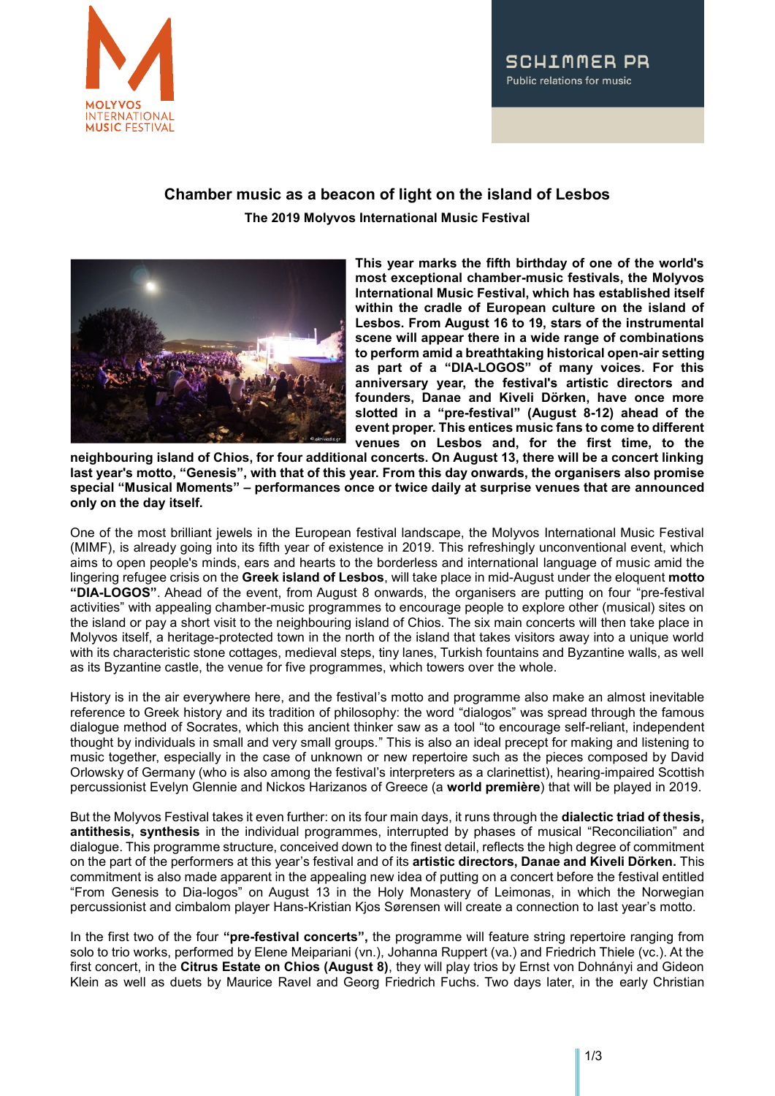

## SCHIMMER PR Public relations for music

## **Chamber music as a beacon of light on the island of Lesbos**

**The 2019 Molyvos International Music Festival**



**This year marks the fifth birthday of one of the world's most exceptional chamber-music festivals, the Molyvos International Music Festival, which has established itself within the cradle of European culture on the island of Lesbos. From August 16 to 19, stars of the instrumental scene will appear there in a wide range of combinations to perform amid a breathtaking historical open-air setting as part of a "DIA-LOGOS" of many voices. For this anniversary year, the festival's artistic directors and founders, Danae and Kiveli Dörken, have once more slotted in a "pre-festival" (August 8-12) ahead of the event proper. This entices music fans to come to different venues on Lesbos and, for the first time, to the** 

**neighbouring island of Chios, for four additional concerts. On August 13, there will be a concert linking last year's motto, "Genesis", with that of this year. From this day onwards, the organisers also promise special "Musical Moments" – performances once or twice daily at surprise venues that are announced only on the day itself.**

One of the most brilliant jewels in the European festival landscape, the Molyvos International Music Festival (MIMF), is already going into its fifth year of existence in 2019. This refreshingly unconventional event, which aims to open people's minds, ears and hearts to the borderless and international language of music amid the lingering refugee crisis on the **Greek island of Lesbos**, will take place in mid-August under the eloquent **motto "DIA-LOGOS"**. Ahead of the event, from August 8 onwards, the organisers are putting on four "pre-festival activities" with appealing chamber-music programmes to encourage people to explore other (musical) sites on the island or pay a short visit to the neighbouring island of Chios. The six main concerts will then take place in Molyvos itself, a heritage-protected town in the north of the island that takes visitors away into a unique world with its characteristic stone cottages, medieval steps, tiny lanes, Turkish fountains and Byzantine walls, as well as its Byzantine castle, the venue for five programmes, which towers over the whole.

History is in the air everywhere here, and the festival's motto and programme also make an almost inevitable reference to Greek history and its tradition of philosophy: the word "dialogos" was spread through the famous dialogue method of Socrates, which this ancient thinker saw as a tool "to encourage self-reliant, independent thought by individuals in small and very small groups." This is also an ideal precept for making and listening to music together, especially in the case of unknown or new repertoire such as the pieces composed by David Orlowsky of Germany (who is also among the festival's interpreters as a clarinettist), hearing-impaired Scottish percussionist Evelyn Glennie and Nickos Harizanos of Greece (a **world première**) that will be played in 2019.

But the Molyvos Festival takes it even further: on its four main days, it runs through the **dialectic triad of thesis, antithesis, synthesis** in the individual programmes, interrupted by phases of musical "Reconciliation" and dialogue. This programme structure, conceived down to the finest detail, reflects the high degree of commitment on the part of the performers at this year's festival and of its **artistic directors, Danae and Kiveli Dörken.** This commitment is also made apparent in the appealing new idea of putting on a concert before the festival entitled "From Genesis to Dia-logos" on August 13 in the Holy Monastery of Leimonas, in which the Norwegian percussionist and cimbalom player Hans-Kristian Kjos Sørensen will create a connection to last year's motto.

In the first two of the four **"pre-festival concerts",** the programme will feature string repertoire ranging from solo to trio works, performed by Elene Meipariani (vn.), Johanna Ruppert (va.) and Friedrich Thiele (vc.). At the first concert, in the **Citrus Estate on Chios (August 8)**, they will play trios by Ernst von Dohnányi and Gideon Klein as well as duets by Maurice Ravel and Georg Friedrich Fuchs. Two days later, in the early Christian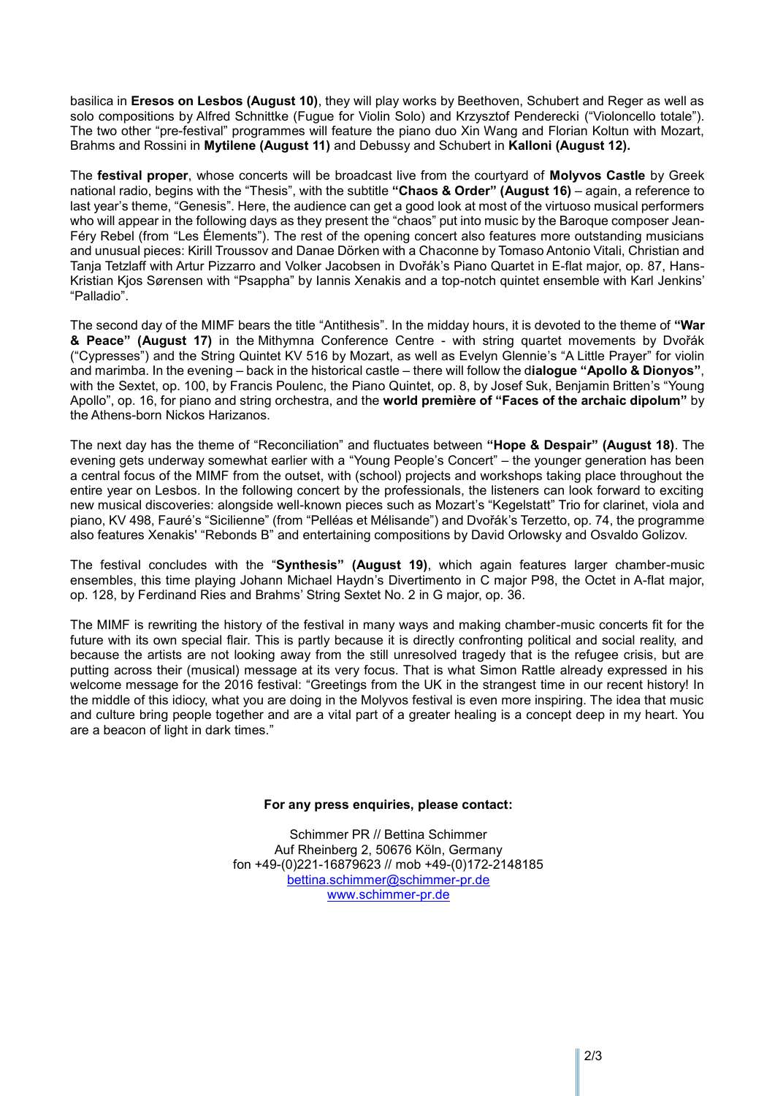basilica in **Eresos on Lesbos (August 10)**, they will play works by Beethoven, Schubert and Reger as well as solo compositions by Alfred Schnittke (Fugue for Violin Solo) and Krzysztof Penderecki ("Violoncello totale"). The two other "pre-festival" programmes will feature the piano duo Xin Wang and Florian Koltun with Mozart, Brahms and Rossini in **Mytilene (August 11)** and Debussy and Schubert in **Kalloni (August 12).** 

The **festival proper**, whose concerts will be broadcast live from the courtyard of **Molyvos Castle** by Greek national radio, begins with the "Thesis", with the subtitle **"Chaos & Order" (August 16)** – again, a reference to last year's theme, "Genesis". Here, the audience can get a good look at most of the virtuoso musical performers who will appear in the following days as they present the "chaos" put into music by the Baroque composer Jean-Féry Rebel (from "Les Élements"). The rest of the opening concert also features more outstanding musicians and unusual pieces: Kirill Troussov and Danae Dörken with a Chaconne by Tomaso Antonio Vitali, Christian and Tanja Tetzlaff with Artur Pizzarro and Volker Jacobsen in Dvořák's Piano Quartet in E-flat major, op. 87, Hans-Kristian Kjos Sørensen with "Psappha" by Iannis Xenakis and a top-notch quintet ensemble with Karl Jenkins' "Palladio".

The second day of the MIMF bears the title "Antithesis". In the midday hours, it is devoted to the theme of **"War & Peace" (August 17)** in the Mithymna Conference Centre - with string quartet movements by Dvořák ("Cypresses") and the String Quintet KV 516 by Mozart, as well as Evelyn Glennie's "A Little Prayer" for violin and marimba. In the evening – back in the historical castle – there will follow the d**ialogue "Apollo & Dionyos"**, with the Sextet, op. 100, by Francis Poulenc, the Piano Quintet, op. 8, by Josef Suk, Benjamin Britten's "Young Apollo", op. 16, for piano and string orchestra, and the **world première of "Faces of the archaic dipolum"** by the Athens-born Nickos Harizanos.

The next day has the theme of "Reconciliation" and fluctuates between **"Hope & Despair" (August 18)**. The evening gets underway somewhat earlier with a "Young People's Concert" – the younger generation has been a central focus of the MIMF from the outset, with (school) projects and workshops taking place throughout the entire year on Lesbos. In the following concert by the professionals, the listeners can look forward to exciting new musical discoveries: alongside well-known pieces such as Mozart's "Kegelstatt" Trio for clarinet, viola and piano, KV 498, Fauré's "Sicilienne" (from "Pelléas et Mélisande") and Dvořák's Terzetto, op. 74, the programme also features Xenakis' "Rebonds B" and entertaining compositions by David Orlowsky and Osvaldo Golizov.

The festival concludes with the "**Synthesis" (August 19)**, which again features larger chamber-music ensembles, this time playing Johann Michael Haydn's Divertimento in C major P98, the Octet in A-flat major, op. 128, by Ferdinand Ries and Brahms' String Sextet No. 2 in G major, op. 36.

The MIMF is rewriting the history of the festival in many ways and making chamber-music concerts fit for the future with its own special flair. This is partly because it is directly confronting political and social reality, and because the artists are not looking away from the still unresolved tragedy that is the refugee crisis, but are putting across their (musical) message at its very focus. That is what Simon Rattle already expressed in his welcome message for the 2016 festival: "Greetings from the UK in the strangest time in our recent history! In the middle of this idiocy, what you are doing in the Molyvos festival is even more inspiring. The idea that music and culture bring people together and are a vital part of a greater healing is a concept deep in my heart. You are a beacon of light in dark times."

## **For any press enquiries, please contact:**

Schimmer PR // Bettina Schimmer Auf Rheinberg 2, 50676 Köln, Germany fon +49-(0)221-16879623 // mob +49-(0)172-2148185 [bettina.schimmer@schimmer-pr.de](mailto:bettina.schimmer@schimmer-pr.de) [www.schimmer-pr.de](http://www.schimmer-pr.de/)